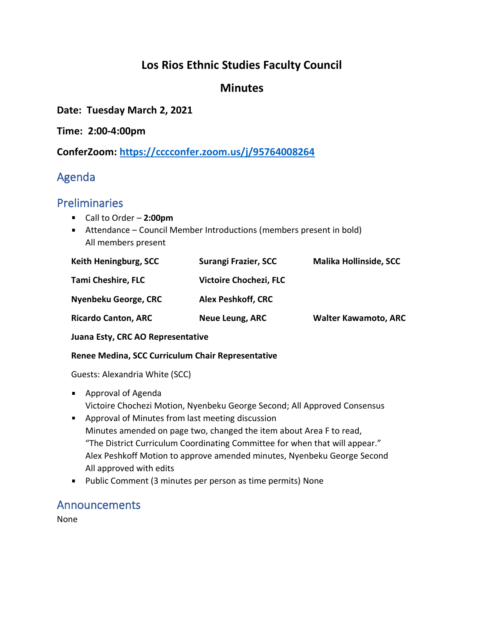### **Los Rios Ethnic Studies Faculty Council**

#### **Minutes**

**Date: Tuesday March 2, 2021**

**Time: 2:00-4:00pm**

**ConferZoom: <https://cccconfer.zoom.us/j/95764008264>**

## Agenda

#### Preliminaries

- Call to Order **2:00pm**
- Attendance Council Member Introductions (members present in bold) All members present

| Keith Heningburg, SCC      | Surangi Frazier, SCC          | <b>Malika Hollinside, SCC</b> |
|----------------------------|-------------------------------|-------------------------------|
| <b>Tami Cheshire, FLC</b>  | <b>Victoire Chochezi, FLC</b> |                               |
| Nyenbeku George, CRC       | <b>Alex Peshkoff, CRC</b>     |                               |
| <b>Ricardo Canton, ARC</b> | Neue Leung, ARC               | <b>Walter Kawamoto, ARC</b>   |

**Juana Esty, CRC AO Representative**

#### **Renee Medina, SCC Curriculum Chair Representative**

Guests: Alexandria White (SCC)

- **Approval of Agenda** Victoire Chochezi Motion, Nyenbeku George Second; All Approved Consensus
- **Approval of Minutes from last meeting discussion** Minutes amended on page two, changed the item about Area F to read, "The District Curriculum Coordinating Committee for when that will appear." Alex Peshkoff Motion to approve amended minutes, Nyenbeku George Second All approved with edits
- **Public Comment (3 minutes per person as time permits) None**

#### Announcements

None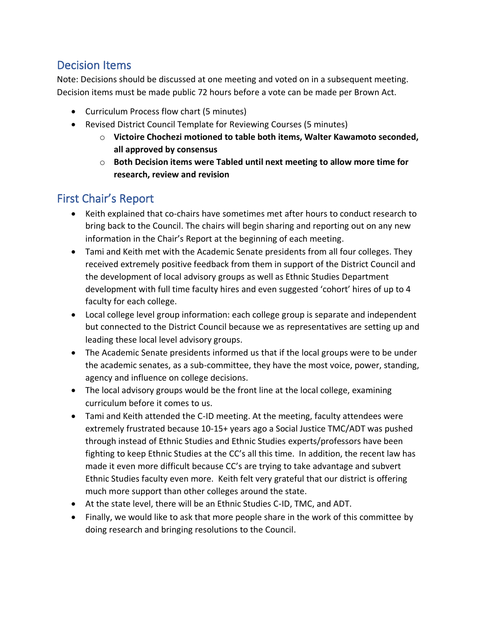### Decision Items

Note: Decisions should be discussed at one meeting and voted on in a subsequent meeting. Decision items must be made public 72 hours before a vote can be made per Brown Act.

- Curriculum Process flow chart (5 minutes)
- Revised District Council Template for Reviewing Courses (5 minutes)
	- o **Victoire Chochezi motioned to table both items, Walter Kawamoto seconded, all approved by consensus**
	- o **Both Decision items were Tabled until next meeting to allow more time for research, review and revision**

# First Chair's Report

- Keith explained that co-chairs have sometimes met after hours to conduct research to bring back to the Council. The chairs will begin sharing and reporting out on any new information in the Chair's Report at the beginning of each meeting.
- Tami and Keith met with the Academic Senate presidents from all four colleges. They received extremely positive feedback from them in support of the District Council and the development of local advisory groups as well as Ethnic Studies Department development with full time faculty hires and even suggested 'cohort' hires of up to 4 faculty for each college.
- Local college level group information: each college group is separate and independent but connected to the District Council because we as representatives are setting up and leading these local level advisory groups.
- The Academic Senate presidents informed us that if the local groups were to be under the academic senates, as a sub-committee, they have the most voice, power, standing, agency and influence on college decisions.
- The local advisory groups would be the front line at the local college, examining curriculum before it comes to us.
- Tami and Keith attended the C-ID meeting. At the meeting, faculty attendees were extremely frustrated because 10-15+ years ago a Social Justice TMC/ADT was pushed through instead of Ethnic Studies and Ethnic Studies experts/professors have been fighting to keep Ethnic Studies at the CC's all this time. In addition, the recent law has made it even more difficult because CC's are trying to take advantage and subvert Ethnic Studies faculty even more. Keith felt very grateful that our district is offering much more support than other colleges around the state.
- At the state level, there will be an Ethnic Studies C-ID, TMC, and ADT.
- Finally, we would like to ask that more people share in the work of this committee by doing research and bringing resolutions to the Council.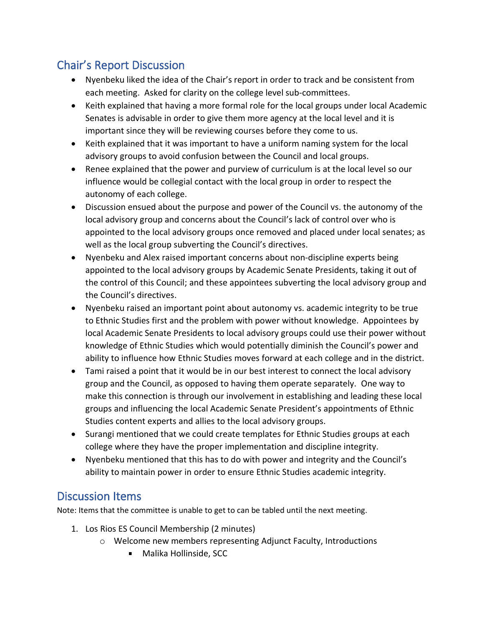## Chair's Report Discussion

- Nyenbeku liked the idea of the Chair's report in order to track and be consistent from each meeting. Asked for clarity on the college level sub-committees.
- Keith explained that having a more formal role for the local groups under local Academic Senates is advisable in order to give them more agency at the local level and it is important since they will be reviewing courses before they come to us.
- Keith explained that it was important to have a uniform naming system for the local advisory groups to avoid confusion between the Council and local groups.
- Renee explained that the power and purview of curriculum is at the local level so our influence would be collegial contact with the local group in order to respect the autonomy of each college.
- Discussion ensued about the purpose and power of the Council vs. the autonomy of the local advisory group and concerns about the Council's lack of control over who is appointed to the local advisory groups once removed and placed under local senates; as well as the local group subverting the Council's directives.
- Nyenbeku and Alex raised important concerns about non-discipline experts being appointed to the local advisory groups by Academic Senate Presidents, taking it out of the control of this Council; and these appointees subverting the local advisory group and the Council's directives.
- Nyenbeku raised an important point about autonomy vs. academic integrity to be true to Ethnic Studies first and the problem with power without knowledge. Appointees by local Academic Senate Presidents to local advisory groups could use their power without knowledge of Ethnic Studies which would potentially diminish the Council's power and ability to influence how Ethnic Studies moves forward at each college and in the district.
- Tami raised a point that it would be in our best interest to connect the local advisory group and the Council, as opposed to having them operate separately. One way to make this connection is through our involvement in establishing and leading these local groups and influencing the local Academic Senate President's appointments of Ethnic Studies content experts and allies to the local advisory groups.
- Surangi mentioned that we could create templates for Ethnic Studies groups at each college where they have the proper implementation and discipline integrity.
- Nyenbeku mentioned that this has to do with power and integrity and the Council's ability to maintain power in order to ensure Ethnic Studies academic integrity.

## Discussion Items

Note: Items that the committee is unable to get to can be tabled until the next meeting.

- 1. Los Rios ES Council Membership (2 minutes)
	- o Welcome new members representing Adjunct Faculty, Introductions
		- **Malika Hollinside, SCC**